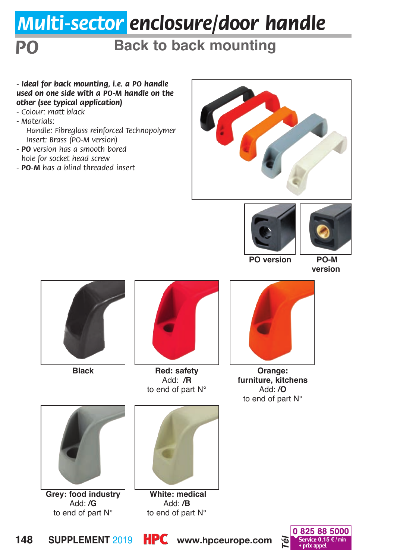# *Multi-sector enclosure/door handle*

## **PO Back to back mounting**

#### *- Ideal for back mounting, i.e. a PO handle used on one side with a PO-M handle on the other (see typical application)*

- *Colour: matt black*
- *Materials:* 
	- *Handle: Fibreglass reinforced Technopolymer Insert: Brass (PO-M version)*
- *PO version has a smooth bored hole for socket head screw*
- *PO-M has a blind threaded insert*







**PO version PO-M** 

**version**





**Red: safety Black Orange:**  Add: **/R** to end of part N°



**furniture, kitchens** Add: **/O** to end of part N°



**Grey: food industry** Add: **/G** to end of part N°



 **White: medical** Add: **/B** to end of part N°

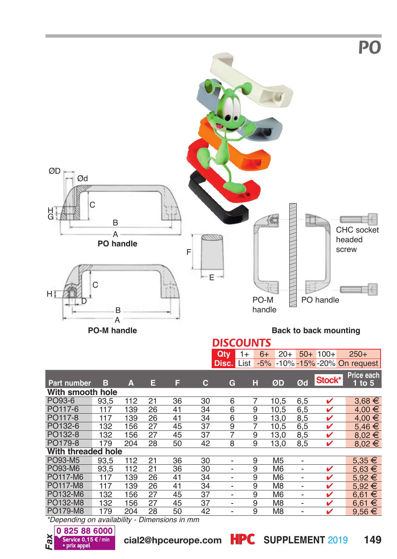

**PO-M handle**

**Back to back mounting**

#### *DISCOUNTS* **G.,**  $20+ 50+ 100+ 250+$

|                    |      |      |    |    |    | wuy               | 1 T | UΤ | <b>LUT</b>     |                          | <b>JUT IUUT</b> | <b>LJUT</b>                   |
|--------------------|------|------|----|----|----|-------------------|-----|----|----------------|--------------------------|-----------------|-------------------------------|
|                    |      |      |    |    |    | <b>Disc.</b> List |     |    |                |                          |                 | -5% -10% -15% -20% On request |
| <b>Part number</b> | в    | А    | Е  | F  | С  | G                 | н   |    | ØD             | Ød                       | Stock*          | Price each<br>$1$ to $5$      |
| With smooth hole   |      |      |    |    |    |                   |     |    |                |                          |                 |                               |
| PO93-6             | 93.5 | 112  | 21 | 36 | 30 | 6                 | 7   |    | 10.5           | 6.5                      | ✓               | $3.68 \in$                    |
| PO117-6            | 117  | 139  | 26 | 41 | 34 | 6                 | 9   |    | 10.5           | 6,5                      | v               | $4.00 \in$                    |
| PO117-8            | 117  | 139  | 26 | 41 | 34 | 6                 | 9   |    | 13.0           | 8,5                      | ✓               | 4.00 €                        |
| PO132-6            | 132  | 156  | 27 | 45 | 37 | 9                 | 7   |    | 10.5           | 6,5                      | ✓               | $5.46 \in$                    |
| PO132-8            | 132  | 156  | 27 | 45 | 37 | 7                 | 9   |    | 13,0           | 8,5                      | ✓               | $8.02 \in$                    |
| PO179-8            | 179  | 204  | 28 | 50 | 42 | 8                 | 9   |    | 13,0           | 8,5                      | v               | $8.02 \in$                    |
| With threaded hole |      |      |    |    |    |                   |     |    |                |                          |                 |                               |
| PO93-M5            | 93.5 | 112  | 21 | 36 | 30 |                   | 9   |    | M <sub>5</sub> | $\overline{a}$           |                 | $5.35 \in$                    |
| PO93-M6            | 93.5 | 112  | 21 | 36 | 30 |                   | 9   |    | M <sub>6</sub> |                          | ✓               | $5.63 \in$                    |
| PO117-M6           | 117  | 139  | 26 | 41 | 34 |                   | 9   |    | M <sub>6</sub> |                          | v               | $5.92 \in$                    |
| PO117-M8           | 117  | 139  | 26 | 41 | 34 |                   | 9   |    | M <sub>8</sub> |                          | v               | $5.92 \in$                    |
| PO132-M6           | 132  | 156  | 27 | 45 | 37 |                   | 9   |    | M <sub>6</sub> |                          | ✓               | $6.61 \in$                    |
| PO132-M8           | 132  | 156  | 27 | 45 | 37 | $\overline{a}$    | 9   |    | M <sub>8</sub> | $\overline{\phantom{0}}$ | ✓               | $6.61 \in$                    |
| PO179-M8           | 179  | 204  | 28 | 50 | 42 |                   | 9   |    | M <sub>8</sub> | -                        | v               | $9.56 \in$                    |
| <b>ALCOHOL:</b>    |      | $-1$ |    |    |    |                   |     |    |                |                          |                 |                               |

*\*Depending on availability - Dimensions in mm*